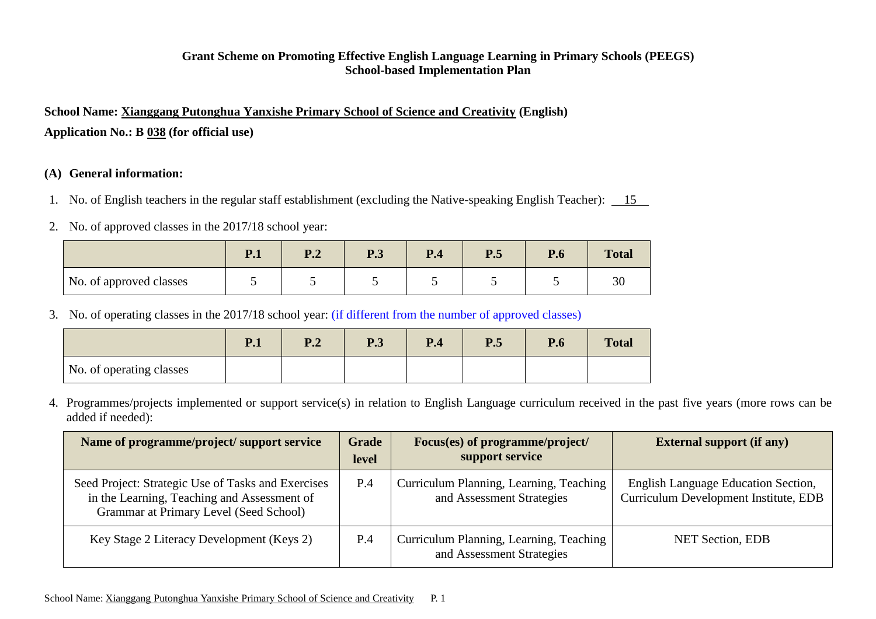### **Grant Scheme on Promoting Effective English Language Learning in Primary Schools (PEEGS) School-based Implementation Plan**

**School Name: Xianggang Putonghua Yanxishe Primary School of Science and Creativity (English) Application No.: B 038 (for official use)**

#### **(A) General information:**

- 1. No. of English teachers in the regular staff establishment (excluding the Native-speaking English Teacher): 15
- 2. No. of approved classes in the 2017/18 school year:

|                         | $\mathbf{D}$ 1<br>$\mathbf{1} \cdot \mathbf{1}$ | D <sub>1</sub><br>▪ • | D 2<br>$\mathbf{I} \cdot \mathbf{J}$ | P.4 | P.5 | $\mathbf{r}$<br>$\mathbf{r}.\mathbf{0}$ | <b>Total</b> |
|-------------------------|-------------------------------------------------|-----------------------|--------------------------------------|-----|-----|-----------------------------------------|--------------|
| No. of approved classes |                                                 |                       |                                      |     |     |                                         | 30           |

3. No. of operating classes in the 2017/18 school year: (if different from the number of approved classes)

|                          | P.1 | D)<br>$\blacksquare$ . | $\bf{D}$ 2<br>$\mathbf{I} \cdot \mathbf{J}$ | P.4 | P.5 | P.6 | <b>Total</b> |
|--------------------------|-----|------------------------|---------------------------------------------|-----|-----|-----|--------------|
| No. of operating classes |     |                        |                                             |     |     |     |              |

4. Programmes/projects implemented or support service(s) in relation to English Language curriculum received in the past five years (more rows can be added if needed):

| Name of programme/project/ support service                                                                                                  | <b>Grade</b><br>level | Focus(es) of programme/project/<br>support service                   | <b>External support (if any)</b>                                                    |
|---------------------------------------------------------------------------------------------------------------------------------------------|-----------------------|----------------------------------------------------------------------|-------------------------------------------------------------------------------------|
| Seed Project: Strategic Use of Tasks and Exercises<br>in the Learning, Teaching and Assessment of<br>Grammar at Primary Level (Seed School) | P.4                   | Curriculum Planning, Learning, Teaching<br>and Assessment Strategies | <b>English Language Education Section,</b><br>Curriculum Development Institute, EDB |
| Key Stage 2 Literacy Development (Keys 2)                                                                                                   | P.4                   | Curriculum Planning, Learning, Teaching<br>and Assessment Strategies | <b>NET Section, EDB</b>                                                             |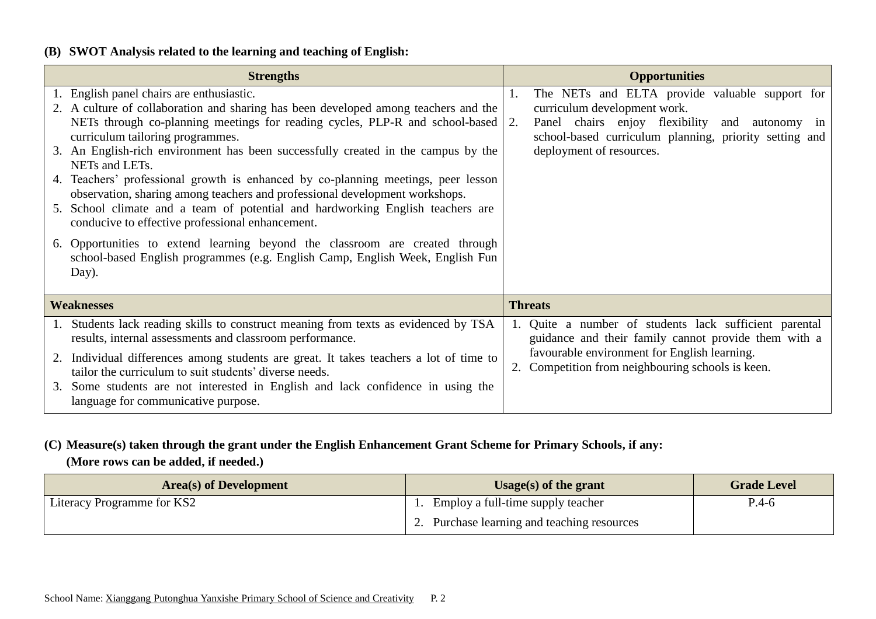### **(B) SWOT Analysis related to the learning and teaching of English:**

| <b>Strengths</b>                                                                                                                                                                                                                                                                                                                                                                                                                                                                                                                                                                                                                                                                                                                                                                                                                                      | <b>Opportunities</b>                                                                                                                                                                                                            |
|-------------------------------------------------------------------------------------------------------------------------------------------------------------------------------------------------------------------------------------------------------------------------------------------------------------------------------------------------------------------------------------------------------------------------------------------------------------------------------------------------------------------------------------------------------------------------------------------------------------------------------------------------------------------------------------------------------------------------------------------------------------------------------------------------------------------------------------------------------|---------------------------------------------------------------------------------------------------------------------------------------------------------------------------------------------------------------------------------|
| 1. English panel chairs are enthusiastic.<br>2. A culture of collaboration and sharing has been developed among teachers and the<br>NETs through co-planning meetings for reading cycles, PLP-R and school-based 2.<br>curriculum tailoring programmes.<br>3. An English-rich environment has been successfully created in the campus by the<br>NETs and LETs.<br>4. Teachers' professional growth is enhanced by co-planning meetings, peer lesson<br>observation, sharing among teachers and professional development workshops.<br>School climate and a team of potential and hardworking English teachers are<br>5.<br>conducive to effective professional enhancement.<br>6. Opportunities to extend learning beyond the classroom are created through<br>school-based English programmes (e.g. English Camp, English Week, English Fun<br>Day). | The NETs and ELTA provide valuable support for<br>1.<br>curriculum development work.<br>Panel chairs enjoy flexibility and<br>autonomy in<br>school-based curriculum planning, priority setting and<br>deployment of resources. |
| <b>Weaknesses</b>                                                                                                                                                                                                                                                                                                                                                                                                                                                                                                                                                                                                                                                                                                                                                                                                                                     | <b>Threats</b>                                                                                                                                                                                                                  |
| Students lack reading skills to construct meaning from texts as evidenced by TSA<br>1.<br>results, internal assessments and classroom performance.<br>Individual differences among students are great. It takes teachers a lot of time to<br>tailor the curriculum to suit students' diverse needs.<br>Some students are not interested in English and lack confidence in using the<br>3.<br>language for communicative purpose.                                                                                                                                                                                                                                                                                                                                                                                                                      | 1. Quite a number of students lack sufficient parental<br>guidance and their family cannot provide them with a<br>favourable environment for English learning.<br>2. Competition from neighbouring schools is keen.             |

### **(C) Measure(s) taken through the grant under the English Enhancement Grant Scheme for Primary Schools, if any: (More rows can be added, if needed.)**

| <b>Area</b> (s) of Development | Usage(s) of the grant                       | <b>Grade Level</b> |
|--------------------------------|---------------------------------------------|--------------------|
| Literacy Programme for KS2     | Employ a full-time supply teacher           | P.4-6              |
|                                | 2. Purchase learning and teaching resources |                    |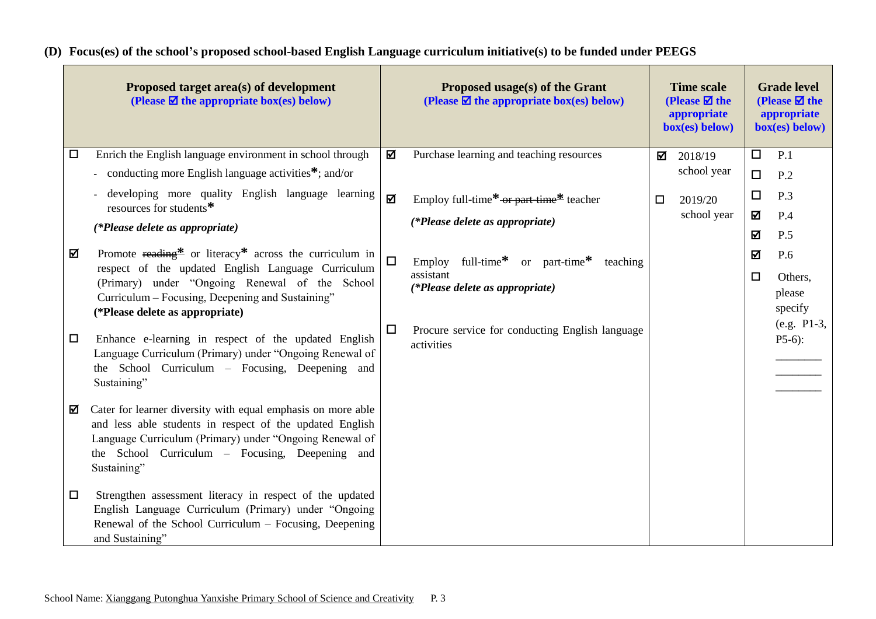## **(D) Focus(es) of the school's proposed school-based English Language curriculum initiative(s) to be funded under PEEGS**

| Proposed target area(s) of development<br>(Please $\boxtimes$ the appropriate box(es) below)                            |        | Proposed usage(s) of the Grant<br>(Please $\boxtimes$ the appropriate box(es) below) |        | <b>Time scale</b><br>(Please $\boxtimes$ the<br>appropriate<br>$box(es)$ below) |        | <b>Grade level</b><br>(Please $\overline{\mathbf{z}}$ the<br>appropriate<br>$box(es)$ below) |
|-------------------------------------------------------------------------------------------------------------------------|--------|--------------------------------------------------------------------------------------|--------|---------------------------------------------------------------------------------|--------|----------------------------------------------------------------------------------------------|
| Enrich the English language environment in school through<br>$\Box$                                                     | ☑      | Purchase learning and teaching resources                                             | ☑      | 2018/19                                                                         | $\Box$ | P.1                                                                                          |
| - conducting more English language activities $*$ ; and/or                                                              |        |                                                                                      |        | school year                                                                     | $\Box$ | P.2                                                                                          |
| developing more quality English language learning<br>resources for students*                                            | ☑      | Employ full-time*-or part time* teacher                                              | $\Box$ | 2019/20                                                                         | $\Box$ | P.3                                                                                          |
| (*Please delete as appropriate)                                                                                         |        | (*Please delete as appropriate)                                                      |        | school year                                                                     | ☑      | P.4                                                                                          |
|                                                                                                                         |        |                                                                                      |        |                                                                                 | ☑      | P.5                                                                                          |
| Promote reading $*$ or literacy $*$ across the curriculum in<br>☑<br>respect of the updated English Language Curriculum | $\Box$ | full-time* or part-time*<br>Employ<br>teaching                                       |        |                                                                                 | ☑      | P.6                                                                                          |
| (Primary) under "Ongoing Renewal of the School                                                                          |        | assistant<br>(*Please delete as appropriate)                                         |        |                                                                                 | $\Box$ | Others,                                                                                      |
| Curriculum – Focusing, Deepening and Sustaining"                                                                        |        |                                                                                      |        |                                                                                 |        | please<br>specify                                                                            |
| (*Please delete as appropriate)                                                                                         | $\Box$ | Procure service for conducting English language                                      |        |                                                                                 |        | (e.g. P1-3,                                                                                  |
| Enhance e-learning in respect of the updated English<br>$\Box$                                                          |        | activities                                                                           |        |                                                                                 |        | $P5-6$ :                                                                                     |
| Language Curriculum (Primary) under "Ongoing Renewal of<br>the School Curriculum – Focusing, Deepening and              |        |                                                                                      |        |                                                                                 |        |                                                                                              |
| Sustaining"                                                                                                             |        |                                                                                      |        |                                                                                 |        |                                                                                              |
| Cater for learner diversity with equal emphasis on more able<br>☑                                                       |        |                                                                                      |        |                                                                                 |        |                                                                                              |
| and less able students in respect of the updated English                                                                |        |                                                                                      |        |                                                                                 |        |                                                                                              |
| Language Curriculum (Primary) under "Ongoing Renewal of<br>the School Curriculum - Focusing, Deepening and              |        |                                                                                      |        |                                                                                 |        |                                                                                              |
| Sustaining"                                                                                                             |        |                                                                                      |        |                                                                                 |        |                                                                                              |
| Strengthen assessment literacy in respect of the updated<br>$\Box$                                                      |        |                                                                                      |        |                                                                                 |        |                                                                                              |
| English Language Curriculum (Primary) under "Ongoing                                                                    |        |                                                                                      |        |                                                                                 |        |                                                                                              |
| Renewal of the School Curriculum – Focusing, Deepening                                                                  |        |                                                                                      |        |                                                                                 |        |                                                                                              |
| and Sustaining"                                                                                                         |        |                                                                                      |        |                                                                                 |        |                                                                                              |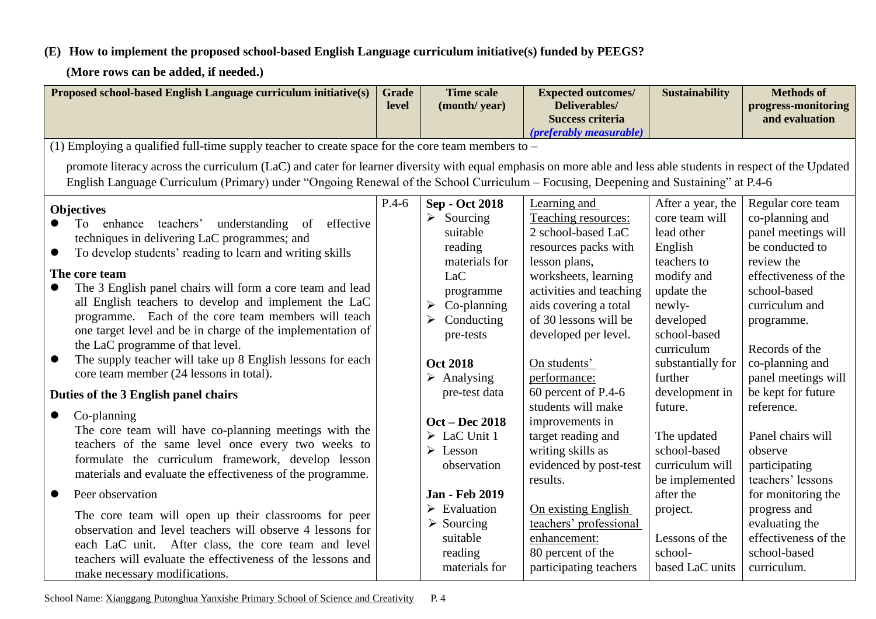# **(E) How to implement the proposed school-based English Language curriculum initiative(s) funded by PEEGS?**

**(More rows can be added, if needed.)**

| Proposed school-based English Language curriculum initiative(s)                                                                                                                                                                                                                                                                                                                                                                                                                                                                                                                                                                 | <b>Grade</b><br>level | <b>Time scale</b><br>(month/year)                                                                                                                                                                                           | <b>Expected outcomes/</b><br>Deliverables/<br><b>Success criteria</b><br>(preferably measurable)                                                                                                                                                                | <b>Sustainability</b>                                                                                                                                                                        | <b>Methods of</b><br>progress-monitoring<br>and evaluation                                                                                                                                                                       |  |  |  |
|---------------------------------------------------------------------------------------------------------------------------------------------------------------------------------------------------------------------------------------------------------------------------------------------------------------------------------------------------------------------------------------------------------------------------------------------------------------------------------------------------------------------------------------------------------------------------------------------------------------------------------|-----------------------|-----------------------------------------------------------------------------------------------------------------------------------------------------------------------------------------------------------------------------|-----------------------------------------------------------------------------------------------------------------------------------------------------------------------------------------------------------------------------------------------------------------|----------------------------------------------------------------------------------------------------------------------------------------------------------------------------------------------|----------------------------------------------------------------------------------------------------------------------------------------------------------------------------------------------------------------------------------|--|--|--|
| (1) Employing a qualified full-time supply teacher to create space for the core team members to $-$                                                                                                                                                                                                                                                                                                                                                                                                                                                                                                                             |                       |                                                                                                                                                                                                                             |                                                                                                                                                                                                                                                                 |                                                                                                                                                                                              |                                                                                                                                                                                                                                  |  |  |  |
| promote literacy across the curriculum (LaC) and cater for learner diversity with equal emphasis on more able and less able students in respect of the Updated<br>English Language Curriculum (Primary) under "Ongoing Renewal of the School Curriculum – Focusing, Deepening and Sustaining" at P.4-6                                                                                                                                                                                                                                                                                                                          |                       |                                                                                                                                                                                                                             |                                                                                                                                                                                                                                                                 |                                                                                                                                                                                              |                                                                                                                                                                                                                                  |  |  |  |
| <b>Objectives</b><br>effective<br>understanding of<br>enhance<br>teachers'<br>To<br>techniques in delivering LaC programmes; and<br>To develop students' reading to learn and writing skills<br>$\bullet$<br>The core team<br>The 3 English panel chairs will form a core team and lead<br>all English teachers to develop and implement the LaC<br>programme. Each of the core team members will teach<br>one target level and be in charge of the implementation of<br>the LaC programme of that level.<br>The supply teacher will take up 8 English lessons for each<br>$\bullet$<br>core team member (24 lessons in total). | $P.4-6$               | <b>Sep - Oct 2018</b><br>$\blacktriangleright$<br>Sourcing<br>suitable<br>reading<br>materials for<br>LaC<br>programme<br>Co-planning<br>➤<br>≻<br>Conducting<br>pre-tests<br><b>Oct 2018</b><br>$\triangleright$ Analysing | Learning and<br>Teaching resources:<br>2 school-based LaC<br>resources packs with<br>lesson plans,<br>worksheets, learning<br>activities and teaching<br>aids covering a total<br>of 30 lessons will be<br>developed per level.<br>On students'<br>performance: | After a year, the<br>core team will<br>lead other<br>English<br>teachers to<br>modify and<br>update the<br>newly-<br>developed<br>school-based<br>curriculum<br>substantially for<br>further | Regular core team<br>co-planning and<br>panel meetings will<br>be conducted to<br>review the<br>effectiveness of the<br>school-based<br>curriculum and<br>programme.<br>Records of the<br>co-planning and<br>panel meetings will |  |  |  |
| Duties of the 3 English panel chairs                                                                                                                                                                                                                                                                                                                                                                                                                                                                                                                                                                                            |                       | pre-test data                                                                                                                                                                                                               | 60 percent of P.4-6                                                                                                                                                                                                                                             | development in                                                                                                                                                                               | be kept for future                                                                                                                                                                                                               |  |  |  |
| Co-planning<br>The core team will have co-planning meetings with the<br>teachers of the same level once every two weeks to<br>formulate the curriculum framework, develop lesson<br>materials and evaluate the effectiveness of the programme.                                                                                                                                                                                                                                                                                                                                                                                  |                       | <b>Oct - Dec 2018</b><br>$\triangleright$ LaC Unit 1<br>➤<br>Lesson<br>observation                                                                                                                                          | students will make<br>improvements in<br>target reading and<br>writing skills as<br>evidenced by post-test<br>results.                                                                                                                                          | future.<br>The updated<br>school-based<br>curriculum will<br>be implemented                                                                                                                  | reference.<br>Panel chairs will<br>observe<br>participating<br>teachers' lessons                                                                                                                                                 |  |  |  |
| Peer observation<br>$\bullet$<br>The core team will open up their classrooms for peer<br>observation and level teachers will observe 4 lessons for<br>each LaC unit. After class, the core team and level<br>teachers will evaluate the effectiveness of the lessons and<br>make necessary modifications.                                                                                                                                                                                                                                                                                                                       |                       | <b>Jan - Feb 2019</b><br>Evaluation<br>Sourcing<br>suitable<br>reading<br>materials for                                                                                                                                     | On existing English<br>teachers' professional<br>enhancement:<br>80 percent of the<br>participating teachers                                                                                                                                                    | after the<br>project.<br>Lessons of the<br>school-<br>based LaC units                                                                                                                        | for monitoring the<br>progress and<br>evaluating the<br>effectiveness of the<br>school-based<br>curriculum.                                                                                                                      |  |  |  |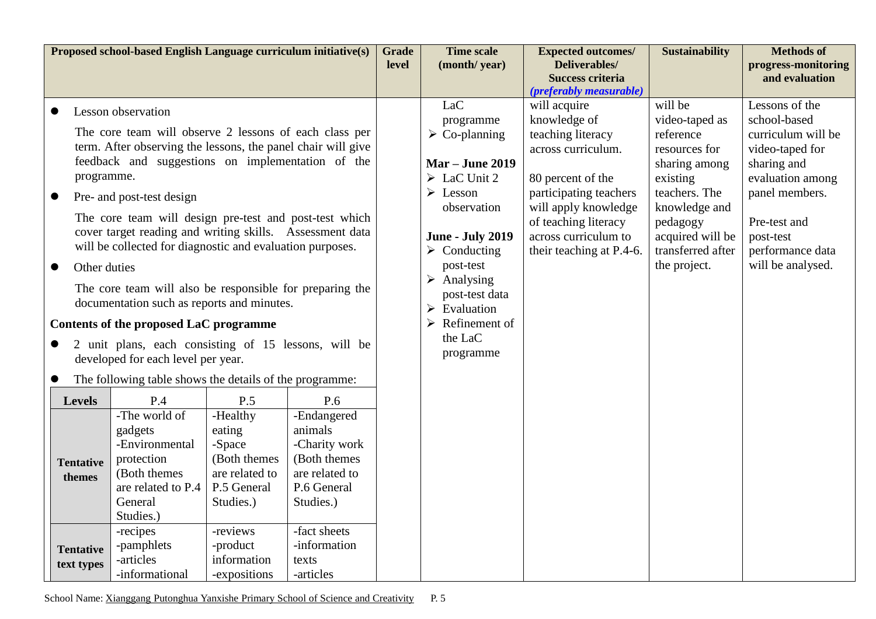| Proposed school-based English Language curriculum initiative(s) |                                                          |                                                              |                                 |                                 | Grade | <b>Time scale</b>                      | <b>Expected outcomes/</b>                | <b>Sustainability</b>      | <b>Methods of</b>                     |
|-----------------------------------------------------------------|----------------------------------------------------------|--------------------------------------------------------------|---------------------------------|---------------------------------|-------|----------------------------------------|------------------------------------------|----------------------------|---------------------------------------|
|                                                                 |                                                          |                                                              |                                 |                                 | level | (month/year)                           | Deliverables/<br><b>Success criteria</b> |                            | progress-monitoring<br>and evaluation |
|                                                                 |                                                          |                                                              |                                 |                                 |       |                                        | (preferably measurable)                  |                            |                                       |
|                                                                 |                                                          | Lesson observation                                           |                                 |                                 |       | LaC                                    | will acquire                             | will be                    | Lessons of the                        |
|                                                                 |                                                          | The core team will observe 2 lessons of each class per       |                                 |                                 |       | programme                              | knowledge of                             | video-taped as             | school-based                          |
|                                                                 |                                                          | term. After observing the lessons, the panel chair will give |                                 |                                 |       | $\triangleright$ Co-planning           | teaching literacy<br>across curriculum.  | reference<br>resources for | curriculum will be                    |
|                                                                 |                                                          | feedback and suggestions on implementation of the            |                                 |                                 |       | <b>Mar – June 2019</b>                 |                                          | sharing among              | video-taped for<br>sharing and        |
|                                                                 | programme.                                               |                                                              |                                 |                                 |       | $\triangleright$ LaC Unit 2            | 80 percent of the                        | existing                   | evaluation among                      |
|                                                                 |                                                          |                                                              |                                 |                                 |       | $\triangleright$ Lesson                | participating teachers                   | teachers. The              | panel members.                        |
| $\bullet$                                                       |                                                          | Pre- and post-test design                                    |                                 |                                 |       | observation                            | will apply knowledge                     | knowledge and              |                                       |
|                                                                 |                                                          | The core team will design pre-test and post-test which       |                                 |                                 |       |                                        | of teaching literacy                     | pedagogy                   | Pre-test and                          |
|                                                                 |                                                          | cover target reading and writing skills. Assessment data     |                                 |                                 |       | <b>June - July 2019</b>                | across curriculum to                     | acquired will be           | post-test                             |
|                                                                 |                                                          | will be collected for diagnostic and evaluation purposes.    |                                 |                                 |       | $\triangleright$ Conducting            | their teaching at P.4-6.                 | transferred after          | performance data                      |
| $\bullet$                                                       | Other duties                                             |                                                              |                                 |                                 |       | post-test                              |                                          | the project.               | will be analysed.                     |
|                                                                 | The core team will also be responsible for preparing the |                                                              |                                 |                                 |       | Analysing<br>➤                         |                                          |                            |                                       |
|                                                                 |                                                          | documentation such as reports and minutes.                   |                                 |                                 |       | post-test data<br>Evaluation           |                                          |                            |                                       |
|                                                                 |                                                          | Contents of the proposed LaC programme                       |                                 |                                 |       | $\blacktriangleright$<br>Refinement of |                                          |                            |                                       |
|                                                                 |                                                          | 2 unit plans, each consisting of 15 lessons, will be         |                                 |                                 |       | the LaC                                |                                          |                            |                                       |
|                                                                 |                                                          | developed for each level per year.                           |                                 |                                 |       | programme                              |                                          |                            |                                       |
|                                                                 |                                                          |                                                              |                                 |                                 |       |                                        |                                          |                            |                                       |
| $\bullet$                                                       |                                                          | The following table shows the details of the programme:      |                                 |                                 |       |                                        |                                          |                            |                                       |
|                                                                 | <b>Levels</b>                                            | P.4                                                          | P.5                             | P.6                             |       |                                        |                                          |                            |                                       |
|                                                                 |                                                          | -The world of                                                | -Healthy                        | -Endangered                     |       |                                        |                                          |                            |                                       |
|                                                                 |                                                          | gadgets                                                      | eating                          | animals                         |       |                                        |                                          |                            |                                       |
|                                                                 |                                                          | -Environmental                                               | -Space                          | -Charity work                   |       |                                        |                                          |                            |                                       |
|                                                                 | <b>Tentative</b>                                         | protection<br>(Both themes)                                  | (Both themes)<br>are related to | (Both themes)<br>are related to |       |                                        |                                          |                            |                                       |
|                                                                 | themes                                                   | are related to P.4                                           | P.5 General                     | P.6 General                     |       |                                        |                                          |                            |                                       |
|                                                                 |                                                          | General                                                      | Studies.)                       | Studies.)                       |       |                                        |                                          |                            |                                       |
|                                                                 |                                                          | Studies.)                                                    |                                 |                                 |       |                                        |                                          |                            |                                       |
|                                                                 |                                                          | -recipes                                                     | -reviews                        | -fact sheets                    |       |                                        |                                          |                            |                                       |
|                                                                 | <b>Tentative</b>                                         | -information<br>-pamphlets<br>-product                       |                                 |                                 |       |                                        |                                          |                            |                                       |
|                                                                 | text types                                               | information<br>-articles<br>texts                            |                                 |                                 |       |                                        |                                          |                            |                                       |
|                                                                 |                                                          | -informational                                               | -expositions                    | -articles                       |       |                                        |                                          |                            |                                       |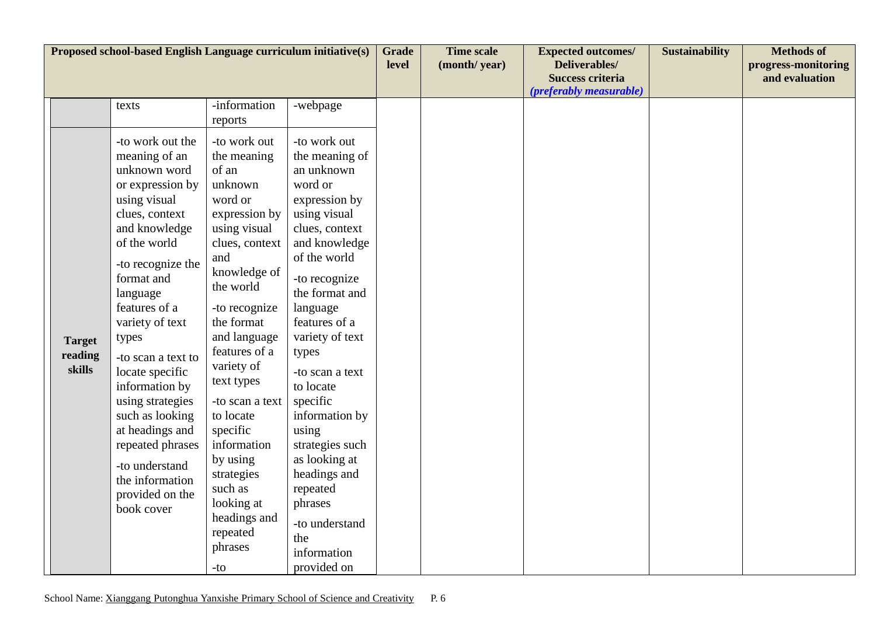| Proposed school-based English Language curriculum initiative(s) |                                    |                                                                                                                                                                                                                                                                                                                                                                                                                                                     |                                                                                                                                                                                                                                                                                                                                                                                                           |                                                                                                                                                                                                                                                                                                                                                                                                                                                  |  | <b>Time scale</b><br>(month/year) | <b>Expected outcomes/</b><br>Deliverables/<br><b>Success criteria</b><br>(preferably measurable) | <b>Sustainability</b> | <b>Methods of</b><br>progress-monitoring<br>and evaluation |
|-----------------------------------------------------------------|------------------------------------|-----------------------------------------------------------------------------------------------------------------------------------------------------------------------------------------------------------------------------------------------------------------------------------------------------------------------------------------------------------------------------------------------------------------------------------------------------|-----------------------------------------------------------------------------------------------------------------------------------------------------------------------------------------------------------------------------------------------------------------------------------------------------------------------------------------------------------------------------------------------------------|--------------------------------------------------------------------------------------------------------------------------------------------------------------------------------------------------------------------------------------------------------------------------------------------------------------------------------------------------------------------------------------------------------------------------------------------------|--|-----------------------------------|--------------------------------------------------------------------------------------------------|-----------------------|------------------------------------------------------------|
|                                                                 |                                    | texts                                                                                                                                                                                                                                                                                                                                                                                                                                               | -information                                                                                                                                                                                                                                                                                                                                                                                              | -webpage                                                                                                                                                                                                                                                                                                                                                                                                                                         |  |                                   |                                                                                                  |                       |                                                            |
|                                                                 |                                    |                                                                                                                                                                                                                                                                                                                                                                                                                                                     | reports                                                                                                                                                                                                                                                                                                                                                                                                   |                                                                                                                                                                                                                                                                                                                                                                                                                                                  |  |                                   |                                                                                                  |                       |                                                            |
|                                                                 | <b>Target</b><br>reading<br>skills | -to work out the<br>meaning of an<br>unknown word<br>or expression by<br>using visual<br>clues, context<br>and knowledge<br>of the world<br>-to recognize the<br>format and<br>language<br>features of a<br>variety of text<br>types<br>-to scan a text to<br>locate specific<br>information by<br>using strategies<br>such as looking<br>at headings and<br>repeated phrases<br>-to understand<br>the information<br>provided on the<br>book cover | -to work out<br>the meaning<br>of an<br>unknown<br>word or<br>expression by<br>using visual<br>clues, context<br>and<br>knowledge of<br>the world<br>-to recognize<br>the format<br>and language<br>features of a<br>variety of<br>text types<br>-to scan a text<br>to locate<br>specific<br>information<br>by using<br>strategies<br>such as<br>looking at<br>headings and<br>repeated<br>phrases<br>-to | -to work out<br>the meaning of<br>an unknown<br>word or<br>expression by<br>using visual<br>clues, context<br>and knowledge<br>of the world<br>-to recognize<br>the format and<br>language<br>features of a<br>variety of text<br>types<br>-to scan a text<br>to locate<br>specific<br>information by<br>using<br>strategies such<br>as looking at<br>headings and<br>repeated<br>phrases<br>-to understand<br>the<br>information<br>provided on |  |                                   |                                                                                                  |                       |                                                            |
|                                                                 |                                    |                                                                                                                                                                                                                                                                                                                                                                                                                                                     |                                                                                                                                                                                                                                                                                                                                                                                                           |                                                                                                                                                                                                                                                                                                                                                                                                                                                  |  |                                   |                                                                                                  |                       |                                                            |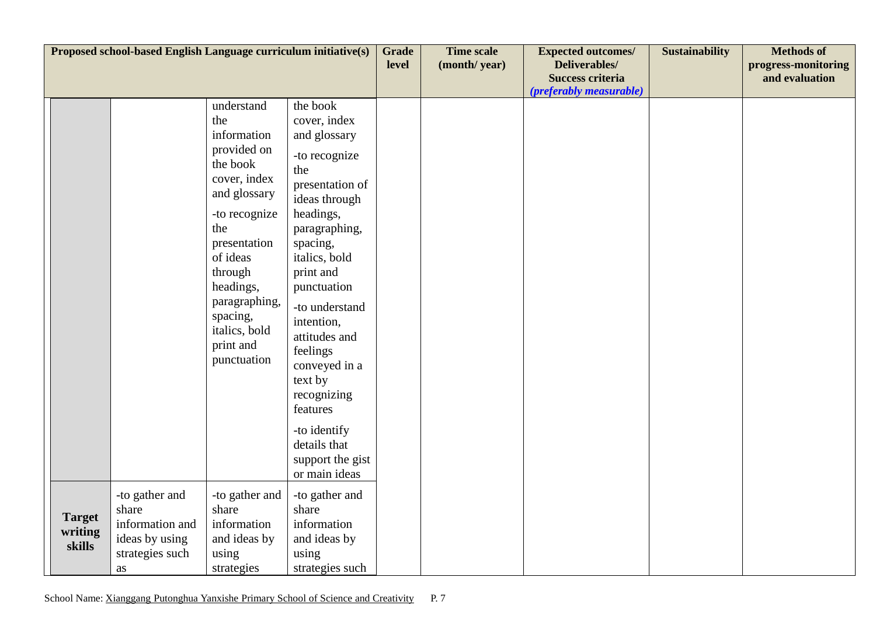| Proposed school-based English Language curriculum initiative(s) |                                    |                                                                                       |                                                                                                                                                                                                                                                   |                                                                                                                                                                                                                                                                                                                                                 |  | <b>Time scale</b><br>(month/year) | <b>Expected outcomes/</b><br>Deliverables/<br><b>Success criteria</b><br>(preferably measurable) | <b>Sustainability</b> | <b>Methods of</b><br>progress-monitoring<br>and evaluation |
|-----------------------------------------------------------------|------------------------------------|---------------------------------------------------------------------------------------|---------------------------------------------------------------------------------------------------------------------------------------------------------------------------------------------------------------------------------------------------|-------------------------------------------------------------------------------------------------------------------------------------------------------------------------------------------------------------------------------------------------------------------------------------------------------------------------------------------------|--|-----------------------------------|--------------------------------------------------------------------------------------------------|-----------------------|------------------------------------------------------------|
|                                                                 |                                    |                                                                                       | understand<br>the<br>information<br>provided on<br>the book<br>cover, index<br>and glossary<br>-to recognize<br>the<br>presentation<br>of ideas<br>through<br>headings,<br>paragraphing,<br>spacing,<br>italics, bold<br>print and<br>punctuation | the book<br>cover, index<br>and glossary<br>-to recognize<br>the<br>presentation of<br>ideas through<br>headings,<br>paragraphing,<br>spacing,<br>italics, bold<br>print and<br>punctuation<br>-to understand<br>intention,<br>attitudes and<br>feelings<br>conveyed in a<br>text by<br>recognizing<br>features<br>-to identify<br>details that |  |                                   |                                                                                                  |                       |                                                            |
|                                                                 |                                    |                                                                                       |                                                                                                                                                                                                                                                   | support the gist<br>or main ideas                                                                                                                                                                                                                                                                                                               |  |                                   |                                                                                                  |                       |                                                            |
|                                                                 | <b>Target</b><br>writing<br>skills | -to gather and<br>share<br>information and<br>ideas by using<br>strategies such<br>as | -to gather and<br>share<br>information<br>and ideas by<br>using<br>strategies                                                                                                                                                                     | -to gather and<br>share<br>information<br>and ideas by<br>using<br>strategies such                                                                                                                                                                                                                                                              |  |                                   |                                                                                                  |                       |                                                            |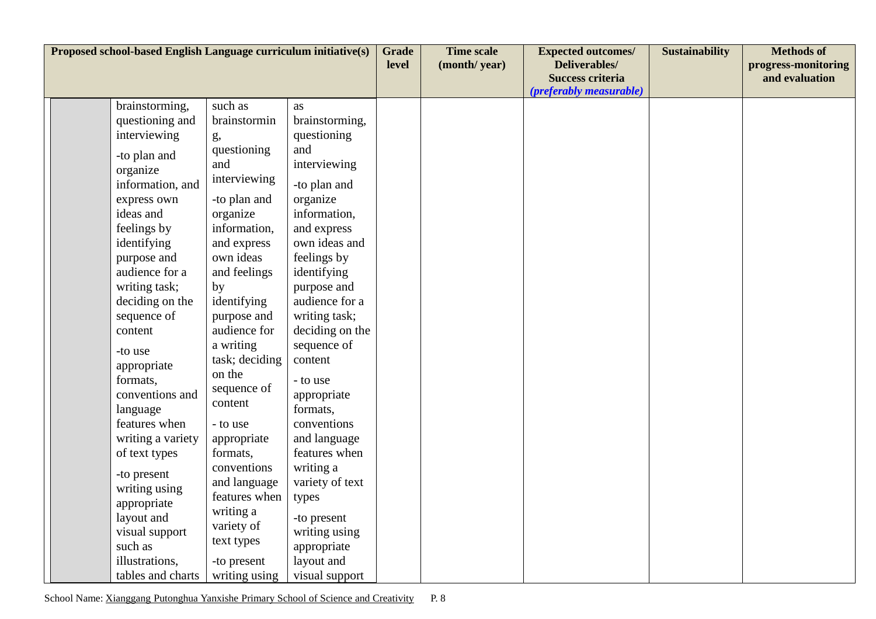| Proposed school-based English Language curriculum initiative(s) |                                              |                                       |                                     |  | <b>Time scale</b><br>(month/year) | <b>Expected outcomes/</b><br>Deliverables/<br><b>Success criteria</b><br><i>(preferably measurable)</i> | <b>Sustainability</b> | <b>Methods of</b><br>progress-monitoring<br>and evaluation |
|-----------------------------------------------------------------|----------------------------------------------|---------------------------------------|-------------------------------------|--|-----------------------------------|---------------------------------------------------------------------------------------------------------|-----------------------|------------------------------------------------------------|
|                                                                 | brainstorming,                               | such as                               | as                                  |  |                                   |                                                                                                         |                       |                                                            |
|                                                                 | questioning and                              | brainstormin                          | brainstorming,                      |  |                                   |                                                                                                         |                       |                                                            |
|                                                                 | interviewing                                 | g,                                    | questioning                         |  |                                   |                                                                                                         |                       |                                                            |
|                                                                 | -to plan and<br>organize<br>information, and | questioning<br>and<br>interviewing    | and<br>interviewing<br>-to plan and |  |                                   |                                                                                                         |                       |                                                            |
|                                                                 | express own                                  | -to plan and                          | organize                            |  |                                   |                                                                                                         |                       |                                                            |
|                                                                 | ideas and                                    | organize                              | information,                        |  |                                   |                                                                                                         |                       |                                                            |
|                                                                 | feelings by                                  | information,                          | and express                         |  |                                   |                                                                                                         |                       |                                                            |
|                                                                 | identifying                                  | and express                           | own ideas and                       |  |                                   |                                                                                                         |                       |                                                            |
|                                                                 | purpose and                                  | own ideas                             | feelings by                         |  |                                   |                                                                                                         |                       |                                                            |
|                                                                 | audience for a                               | and feelings                          | identifying                         |  |                                   |                                                                                                         |                       |                                                            |
|                                                                 | writing task;                                | by                                    | purpose and                         |  |                                   |                                                                                                         |                       |                                                            |
|                                                                 | deciding on the                              | identifying                           | audience for a                      |  |                                   |                                                                                                         |                       |                                                            |
|                                                                 | sequence of                                  | purpose and                           | writing task;                       |  |                                   |                                                                                                         |                       |                                                            |
|                                                                 | content                                      | audience for                          | deciding on the                     |  |                                   |                                                                                                         |                       |                                                            |
|                                                                 | -to use                                      | a writing                             | sequence of                         |  |                                   |                                                                                                         |                       |                                                            |
|                                                                 | appropriate                                  | task; deciding                        | content                             |  |                                   |                                                                                                         |                       |                                                            |
|                                                                 | formats,                                     | on the                                | - to use                            |  |                                   |                                                                                                         |                       |                                                            |
|                                                                 | conventions and                              | sequence of                           | appropriate                         |  |                                   |                                                                                                         |                       |                                                            |
|                                                                 | language                                     | content                               | formats,                            |  |                                   |                                                                                                         |                       |                                                            |
|                                                                 | features when                                | - to use                              | conventions                         |  |                                   |                                                                                                         |                       |                                                            |
|                                                                 | writing a variety                            | appropriate                           | and language                        |  |                                   |                                                                                                         |                       |                                                            |
|                                                                 | of text types                                | formats,                              | features when                       |  |                                   |                                                                                                         |                       |                                                            |
|                                                                 |                                              | conventions                           | writing a                           |  |                                   |                                                                                                         |                       |                                                            |
|                                                                 | -to present<br>writing using                 | and language                          | variety of text                     |  |                                   |                                                                                                         |                       |                                                            |
|                                                                 | appropriate                                  | features when                         | types                               |  |                                   |                                                                                                         |                       |                                                            |
|                                                                 | layout and<br>visual support                 | writing a<br>variety of<br>text types | -to present<br>writing using        |  |                                   |                                                                                                         |                       |                                                            |
|                                                                 | such as                                      |                                       | appropriate                         |  |                                   |                                                                                                         |                       |                                                            |
|                                                                 | illustrations,                               | -to present                           | layout and                          |  |                                   |                                                                                                         |                       |                                                            |
|                                                                 | tables and charts                            | writing using                         | visual support                      |  |                                   |                                                                                                         |                       |                                                            |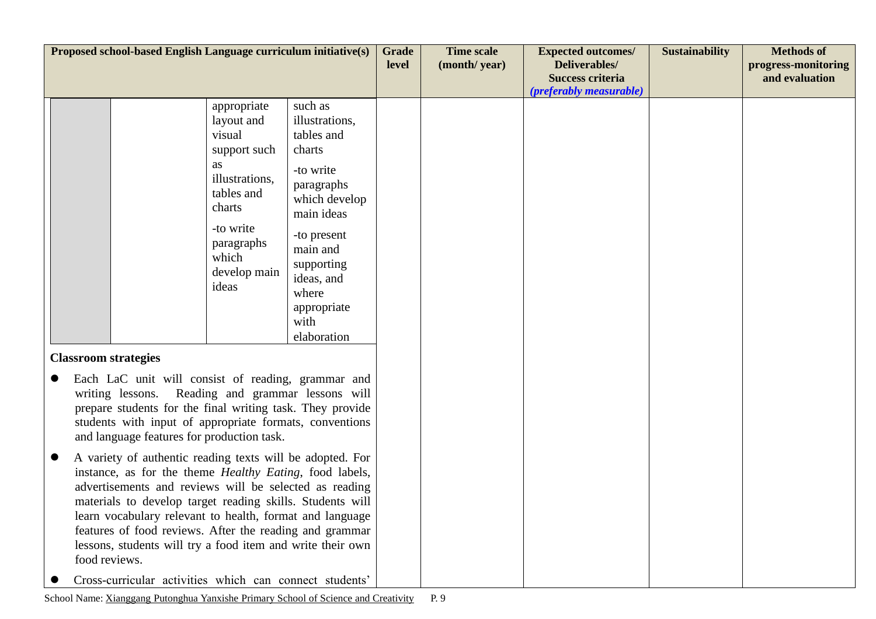| Proposed school-based English Language curriculum initiative(s) |                                                                                                                                                                                                                                                                                                                                                                                                                                                           |                                                           | <b>Grade</b><br>level                                  | <b>Time scale</b><br>(month/year) | <b>Expected outcomes/</b><br>Deliverables/<br><b>Success criteria</b><br>(preferably measurable) | <b>Sustainability</b> | <b>Methods of</b><br>progress-monitoring<br>and evaluation |  |
|-----------------------------------------------------------------|-----------------------------------------------------------------------------------------------------------------------------------------------------------------------------------------------------------------------------------------------------------------------------------------------------------------------------------------------------------------------------------------------------------------------------------------------------------|-----------------------------------------------------------|--------------------------------------------------------|-----------------------------------|--------------------------------------------------------------------------------------------------|-----------------------|------------------------------------------------------------|--|
|                                                                 |                                                                                                                                                                                                                                                                                                                                                                                                                                                           | appropriate<br>layout and                                 | such as<br>illustrations,                              |                                   |                                                                                                  |                       |                                                            |  |
|                                                                 |                                                                                                                                                                                                                                                                                                                                                                                                                                                           | visual                                                    | tables and                                             |                                   |                                                                                                  |                       |                                                            |  |
|                                                                 |                                                                                                                                                                                                                                                                                                                                                                                                                                                           | support such<br><b>as</b>                                 | charts                                                 |                                   |                                                                                                  |                       |                                                            |  |
|                                                                 |                                                                                                                                                                                                                                                                                                                                                                                                                                                           | illustrations,<br>tables and<br>charts                    | -to write<br>paragraphs<br>which develop<br>main ideas |                                   |                                                                                                  |                       |                                                            |  |
|                                                                 |                                                                                                                                                                                                                                                                                                                                                                                                                                                           | -to write<br>paragraphs<br>which<br>develop main<br>ideas | -to present<br>main and<br>supporting<br>ideas, and    |                                   |                                                                                                  |                       |                                                            |  |
|                                                                 |                                                                                                                                                                                                                                                                                                                                                                                                                                                           |                                                           | where<br>appropriate<br>with<br>elaboration            |                                   |                                                                                                  |                       |                                                            |  |
|                                                                 | <b>Classroom strategies</b>                                                                                                                                                                                                                                                                                                                                                                                                                               |                                                           |                                                        |                                   |                                                                                                  |                       |                                                            |  |
|                                                                 | Each LaC unit will consist of reading, grammar and<br>Reading and grammar lessons will<br>writing lessons.<br>prepare students for the final writing task. They provide<br>students with input of appropriate formats, conventions<br>and language features for production task.                                                                                                                                                                          |                                                           |                                                        |                                   |                                                                                                  |                       |                                                            |  |
|                                                                 | A variety of authentic reading texts will be adopted. For<br>instance, as for the theme <i>Healthy Eating</i> , food labels,<br>advertisements and reviews will be selected as reading<br>materials to develop target reading skills. Students will<br>learn vocabulary relevant to health, format and language<br>features of food reviews. After the reading and grammar<br>lessons, students will try a food item and write their own<br>food reviews. |                                                           |                                                        |                                   |                                                                                                  |                       |                                                            |  |
|                                                                 | Cross-curricular activities which can connect students'                                                                                                                                                                                                                                                                                                                                                                                                   |                                                           |                                                        |                                   |                                                                                                  |                       |                                                            |  |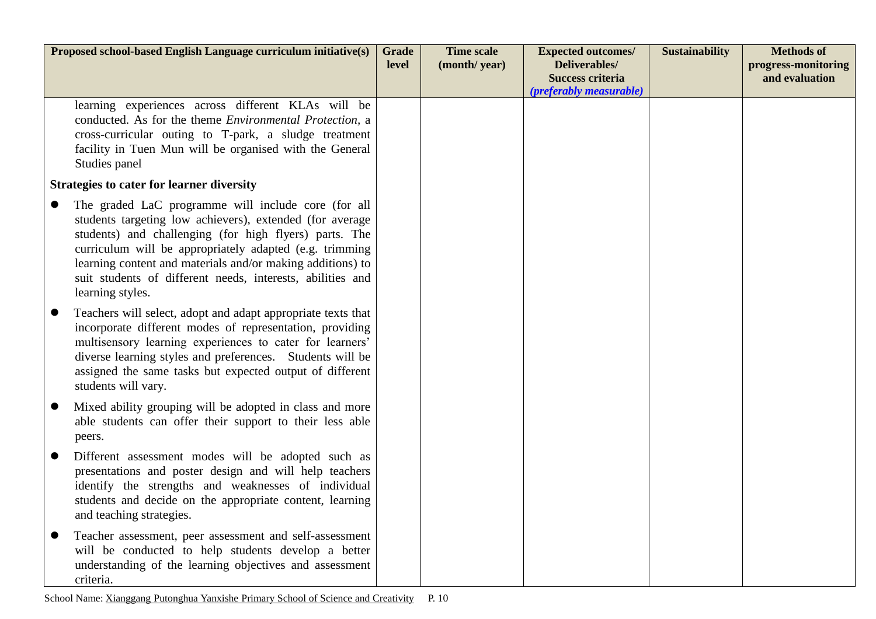| Proposed school-based English Language curriculum initiative(s)                                                                                                                                                                                                                                                                                                                      | <b>Grade</b><br>level | <b>Time scale</b><br>(month/year) | <b>Expected outcomes/</b><br>Deliverables/<br><b>Success criteria</b><br>(preferably measurable) | <b>Sustainability</b> | <b>Methods of</b><br>progress-monitoring<br>and evaluation |
|--------------------------------------------------------------------------------------------------------------------------------------------------------------------------------------------------------------------------------------------------------------------------------------------------------------------------------------------------------------------------------------|-----------------------|-----------------------------------|--------------------------------------------------------------------------------------------------|-----------------------|------------------------------------------------------------|
| learning experiences across different KLAs will be<br>conducted. As for the theme <i>Environmental Protection</i> , a<br>cross-curricular outing to T-park, a sludge treatment<br>facility in Tuen Mun will be organised with the General<br>Studies panel                                                                                                                           |                       |                                   |                                                                                                  |                       |                                                            |
| <b>Strategies to cater for learner diversity</b>                                                                                                                                                                                                                                                                                                                                     |                       |                                   |                                                                                                  |                       |                                                            |
| The graded LaC programme will include core (for all<br>students targeting low achievers), extended (for average<br>students) and challenging (for high flyers) parts. The<br>curriculum will be appropriately adapted (e.g. trimming<br>learning content and materials and/or making additions) to<br>suit students of different needs, interests, abilities and<br>learning styles. |                       |                                   |                                                                                                  |                       |                                                            |
| Teachers will select, adopt and adapt appropriate texts that<br>incorporate different modes of representation, providing<br>multisensory learning experiences to cater for learners'<br>diverse learning styles and preferences. Students will be<br>assigned the same tasks but expected output of different<br>students will vary.                                                 |                       |                                   |                                                                                                  |                       |                                                            |
| Mixed ability grouping will be adopted in class and more<br>able students can offer their support to their less able<br>peers.                                                                                                                                                                                                                                                       |                       |                                   |                                                                                                  |                       |                                                            |
| Different assessment modes will be adopted such as<br>presentations and poster design and will help teachers<br>identify the strengths and weaknesses of individual<br>students and decide on the appropriate content, learning<br>and teaching strategies.                                                                                                                          |                       |                                   |                                                                                                  |                       |                                                            |
| Teacher assessment, peer assessment and self-assessment<br>will be conducted to help students develop a better<br>understanding of the learning objectives and assessment<br>criteria.                                                                                                                                                                                               |                       |                                   |                                                                                                  |                       |                                                            |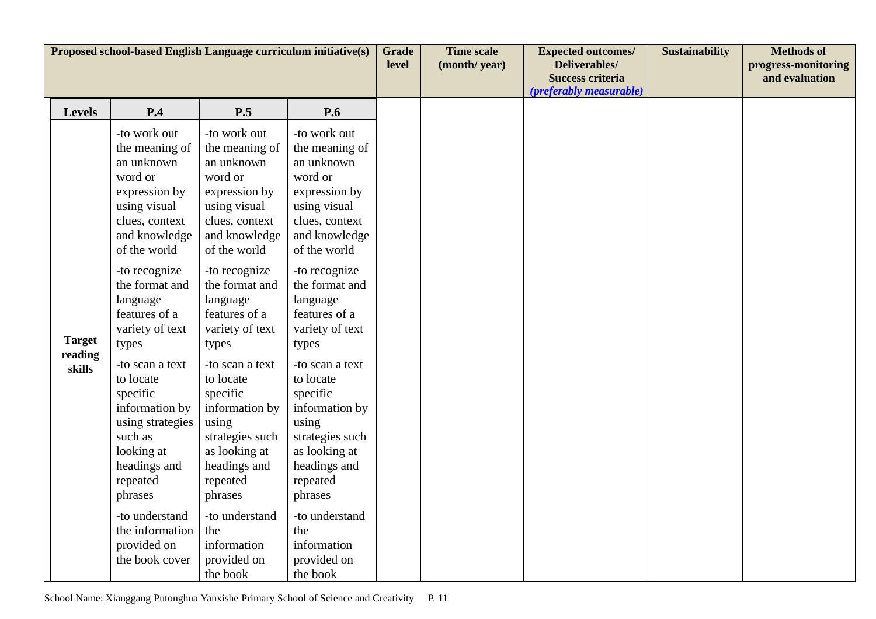| Proposed school-based English Language curriculum initiative(s) |                                                                                                                                                                                                                                                                                                                                                                                                                                                                 |                                                                                                                                                                                                                                                                                                                                                                                                                                                              |                                                                                                                                                                                                                                                                                                                                                                                                                                                              |  | <b>Time scale</b><br>(month/year) | <b>Expected outcomes/</b><br><b>Deliverables/</b><br><b>Success criteria</b><br>(preferably measurable) | <b>Sustainability</b> | <b>Methods of</b><br>progress-monitoring<br>and evaluation |
|-----------------------------------------------------------------|-----------------------------------------------------------------------------------------------------------------------------------------------------------------------------------------------------------------------------------------------------------------------------------------------------------------------------------------------------------------------------------------------------------------------------------------------------------------|--------------------------------------------------------------------------------------------------------------------------------------------------------------------------------------------------------------------------------------------------------------------------------------------------------------------------------------------------------------------------------------------------------------------------------------------------------------|--------------------------------------------------------------------------------------------------------------------------------------------------------------------------------------------------------------------------------------------------------------------------------------------------------------------------------------------------------------------------------------------------------------------------------------------------------------|--|-----------------------------------|---------------------------------------------------------------------------------------------------------|-----------------------|------------------------------------------------------------|
| <b>Levels</b>                                                   | P.4                                                                                                                                                                                                                                                                                                                                                                                                                                                             | P.5                                                                                                                                                                                                                                                                                                                                                                                                                                                          | <b>P.6</b>                                                                                                                                                                                                                                                                                                                                                                                                                                                   |  |                                   |                                                                                                         |                       |                                                            |
| <b>Target</b><br>reading<br>skills                              | -to work out<br>the meaning of<br>an unknown<br>word or<br>expression by<br>using visual<br>clues, context<br>and knowledge<br>of the world<br>-to recognize<br>the format and<br>language<br>features of a<br>variety of text<br>types<br>-to scan a text<br>to locate<br>specific<br>information by<br>using strategies<br>such as<br>looking at<br>headings and<br>repeated<br>phrases<br>-to understand<br>the information<br>provided on<br>the book cover | -to work out<br>the meaning of<br>an unknown<br>word or<br>expression by<br>using visual<br>clues, context<br>and knowledge<br>of the world<br>-to recognize<br>the format and<br>language<br>features of a<br>variety of text<br>types<br>-to scan a text<br>to locate<br>specific<br>information by<br>using<br>strategies such<br>as looking at<br>headings and<br>repeated<br>phrases<br>-to understand<br>the<br>information<br>provided on<br>the book | -to work out<br>the meaning of<br>an unknown<br>word or<br>expression by<br>using visual<br>clues, context<br>and knowledge<br>of the world<br>-to recognize<br>the format and<br>language<br>features of a<br>variety of text<br>types<br>-to scan a text<br>to locate<br>specific<br>information by<br>using<br>strategies such<br>as looking at<br>headings and<br>repeated<br>phrases<br>-to understand<br>the<br>information<br>provided on<br>the book |  |                                   |                                                                                                         |                       |                                                            |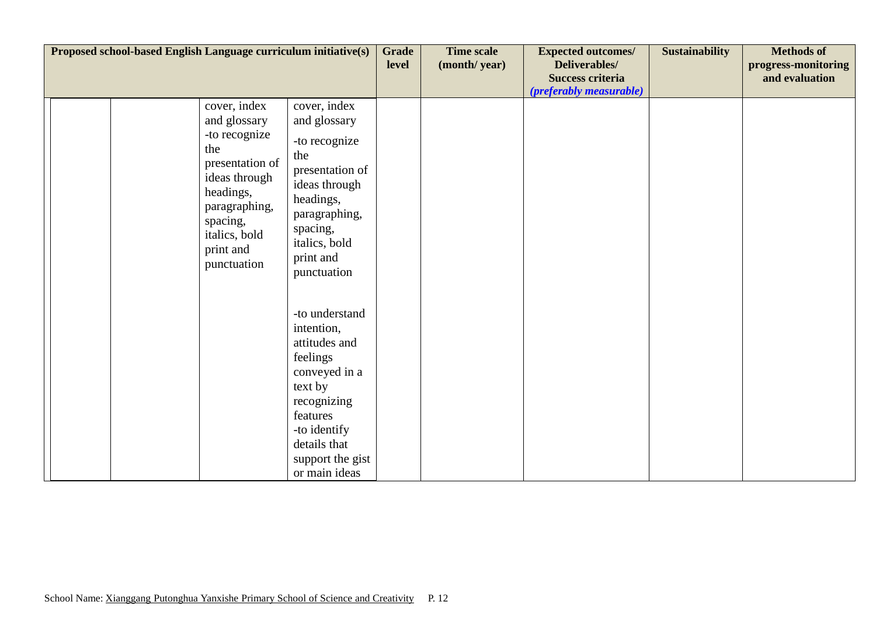| Proposed school-based English Language curriculum initiative(s) |  |                                                                                                                                                                                 |                                                                                                                                                                                       | <b>Grade</b><br>level | <b>Time scale</b><br>(month/year) | <b>Expected outcomes/</b><br>Deliverables/<br><b>Success criteria</b><br>(preferably measurable) | <b>Sustainability</b> | <b>Methods of</b><br>progress-monitoring<br>and evaluation |
|-----------------------------------------------------------------|--|---------------------------------------------------------------------------------------------------------------------------------------------------------------------------------|---------------------------------------------------------------------------------------------------------------------------------------------------------------------------------------|-----------------------|-----------------------------------|--------------------------------------------------------------------------------------------------|-----------------------|------------------------------------------------------------|
|                                                                 |  | cover, index<br>and glossary<br>-to recognize<br>the<br>presentation of<br>ideas through<br>headings,<br>paragraphing,<br>spacing,<br>italics, bold<br>print and<br>punctuation | cover, index<br>and glossary<br>-to recognize<br>the<br>presentation of<br>ideas through<br>headings,<br>paragraphing,<br>spacing,<br>italics, bold<br>print and<br>punctuation       |                       |                                   |                                                                                                  |                       |                                                            |
|                                                                 |  |                                                                                                                                                                                 | -to understand<br>intention,<br>attitudes and<br>feelings<br>conveyed in a<br>text by<br>recognizing<br>features<br>-to identify<br>details that<br>support the gist<br>or main ideas |                       |                                   |                                                                                                  |                       |                                                            |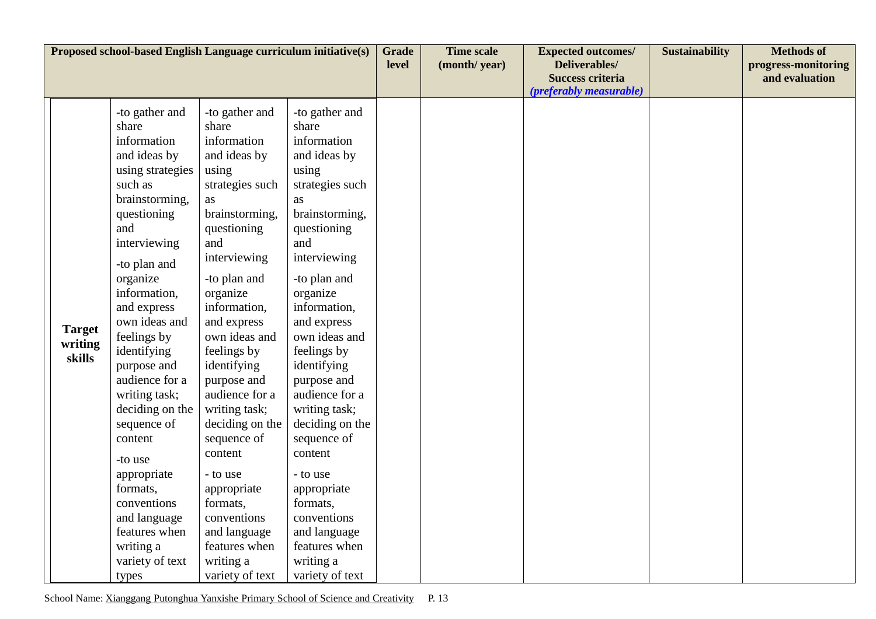| Proposed school-based English Language curriculum initiative(s) |                                    |                                                                                                                                                                                                                                                                                                                                                                                                                                                                              |                                                                                                                                                                                                                                                                                                                                                                                                                                                               |                                                                                                                                                                                                                                                                                                                                                                                                                                                                      | <b>Grade</b><br>level | <b>Time scale</b><br>(month/year) | <b>Expected outcomes/</b><br>Deliverables/<br><b>Success criteria</b> | <b>Sustainability</b> | <b>Methods of</b><br>progress-monitoring<br>and evaluation |
|-----------------------------------------------------------------|------------------------------------|------------------------------------------------------------------------------------------------------------------------------------------------------------------------------------------------------------------------------------------------------------------------------------------------------------------------------------------------------------------------------------------------------------------------------------------------------------------------------|---------------------------------------------------------------------------------------------------------------------------------------------------------------------------------------------------------------------------------------------------------------------------------------------------------------------------------------------------------------------------------------------------------------------------------------------------------------|----------------------------------------------------------------------------------------------------------------------------------------------------------------------------------------------------------------------------------------------------------------------------------------------------------------------------------------------------------------------------------------------------------------------------------------------------------------------|-----------------------|-----------------------------------|-----------------------------------------------------------------------|-----------------------|------------------------------------------------------------|
|                                                                 | <b>Target</b><br>writing<br>skills | -to gather and<br>share<br>information<br>and ideas by<br>using strategies<br>such as<br>brainstorming,<br>questioning<br>and<br>interviewing<br>-to plan and<br>organize<br>information,<br>and express<br>own ideas and<br>feelings by<br>identifying<br>purpose and<br>audience for a<br>writing task;<br>deciding on the<br>sequence of<br>content<br>-to use<br>appropriate<br>formats,<br>conventions<br>and language<br>features when<br>writing a<br>variety of text | -to gather and<br>share<br>information<br>and ideas by<br>using<br>strategies such<br>as<br>brainstorming,<br>questioning<br>and<br>interviewing<br>-to plan and<br>organize<br>information,<br>and express<br>own ideas and<br>feelings by<br>identifying<br>purpose and<br>audience for a<br>writing task;<br>deciding on the<br>sequence of<br>content<br>- to use<br>appropriate<br>formats,<br>conventions<br>and language<br>features when<br>writing a | -to gather and<br>share<br>information<br>and ideas by<br>using<br>strategies such<br><b>as</b><br>brainstorming,<br>questioning<br>and<br>interviewing<br>-to plan and<br>organize<br>information,<br>and express<br>own ideas and<br>feelings by<br>identifying<br>purpose and<br>audience for a<br>writing task;<br>deciding on the<br>sequence of<br>content<br>- to use<br>appropriate<br>formats,<br>conventions<br>and language<br>features when<br>writing a |                       |                                   | (preferably measurable)                                               |                       |                                                            |
|                                                                 |                                    | types                                                                                                                                                                                                                                                                                                                                                                                                                                                                        | variety of text                                                                                                                                                                                                                                                                                                                                                                                                                                               | variety of text                                                                                                                                                                                                                                                                                                                                                                                                                                                      |                       |                                   |                                                                       |                       |                                                            |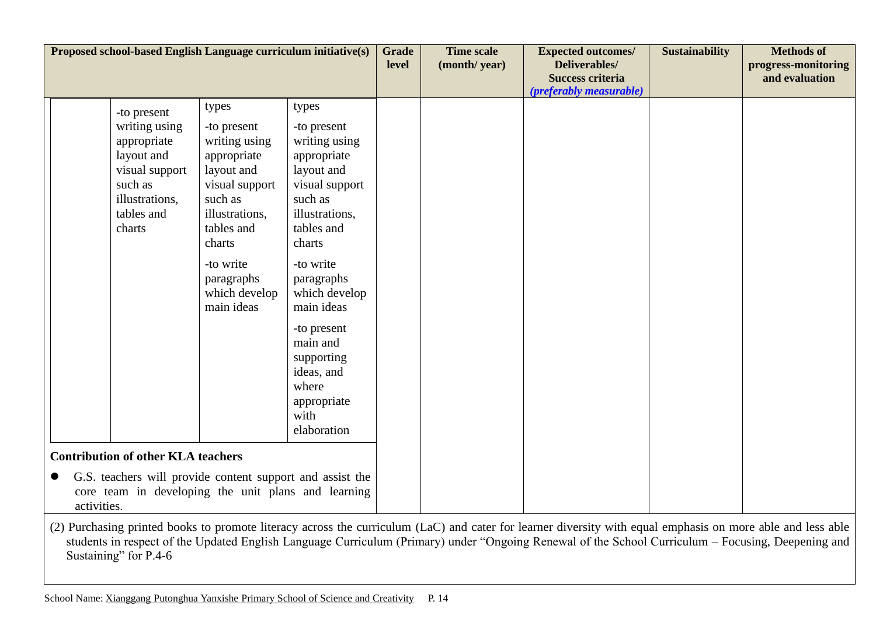| Proposed school-based English Language curriculum initiative(s)                                                                                                              |                                                                                                                                                                                                     |                                                                                                                                                                                                                                                                                                           | <b>Grade</b><br>level | <b>Time scale</b><br>(month/year) | <b>Expected outcomes/</b><br>Deliverables/<br><b>Success criteria</b><br>(preferably measurable) | <b>Sustainability</b> | <b>Methods of</b><br>progress-monitoring<br>and evaluation |
|------------------------------------------------------------------------------------------------------------------------------------------------------------------------------|-----------------------------------------------------------------------------------------------------------------------------------------------------------------------------------------------------|-----------------------------------------------------------------------------------------------------------------------------------------------------------------------------------------------------------------------------------------------------------------------------------------------------------|-----------------------|-----------------------------------|--------------------------------------------------------------------------------------------------|-----------------------|------------------------------------------------------------|
| -to present<br>writing using<br>appropriate<br>layout and<br>visual support<br>such as<br>illustrations,<br>tables and<br>charts                                             | types<br>-to present<br>writing using<br>appropriate<br>layout and<br>visual support<br>such as<br>illustrations,<br>tables and<br>charts<br>-to write<br>paragraphs<br>which develop<br>main ideas | types<br>-to present<br>writing using<br>appropriate<br>layout and<br>visual support<br>such as<br>illustrations,<br>tables and<br>charts<br>-to write<br>paragraphs<br>which develop<br>main ideas<br>-to present<br>main and<br>supporting<br>ideas, and<br>where<br>appropriate<br>with<br>elaboration |                       |                                   |                                                                                                  |                       |                                                            |
| <b>Contribution of other KLA teachers</b><br>G.S. teachers will provide content support and assist the<br>core team in developing the unit plans and learning<br>activities. |                                                                                                                                                                                                     |                                                                                                                                                                                                                                                                                                           |                       |                                   |                                                                                                  |                       |                                                            |

(2) Purchasing printed books to promote literacy across the curriculum (LaC) and cater for learner diversity with equal emphasis on more able and less able students in respect of the Updated English Language Curriculum (Primary) under "Ongoing Renewal of the School Curriculum – Focusing, Deepening and Sustaining" for P.4-6